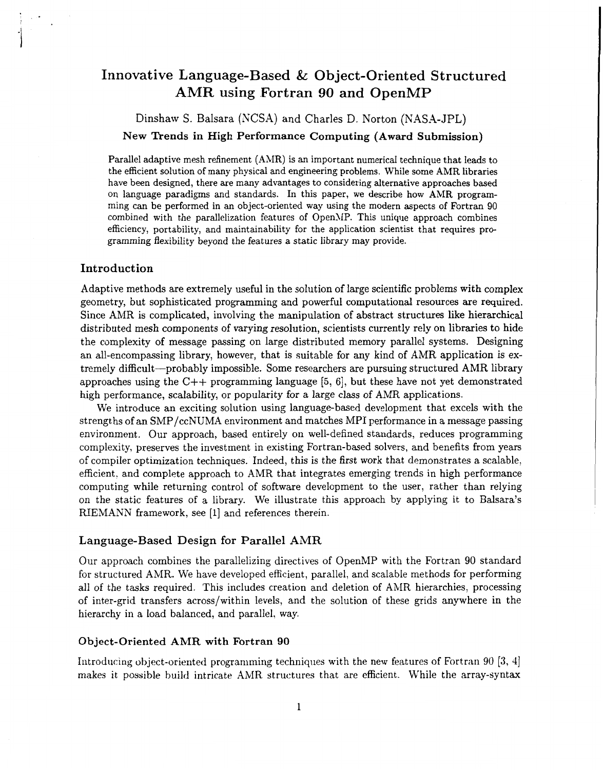# **Innovative Language-Based** & **Object-Oriented Structured AMR using Fortran 90 and OpenMP**

Dinshaw S. Balsara (NCSA) and Charles D. Norton (NASA-JPL)

New Trends in **High** Performance Computing (Award Submission)

Parallel adaptive mesh refinement **(AMR)** is an important numerical technique that leads to the efficient solution of many physical and engineering problems. While some **AMR** libraries have been designed, there are many advantages to considering alternative approaches based on language paradigms and standards. In this paper, we describe how **AMR** programming can be performed in an object-oriented way using the modern aspects of Fortran **90**  combined with the parallelization features of OpenMP. This unique approach combines efficiency, portability, and maintainability for the application scientist that requires programming flexibility beyond the features a static library may provide.

## **Introduction**

Adaptive methods are extremely useful in the solution of large scientific problems with complex geometry, but sophisticated programming and powerful computational resources are required. Since ANIR is complicated, involving the manipulation of abstract structures like hierarchical distributed mesh components of varying resolution, scientists currently rely on libraries to hide the complexity of message passing on large distributed memory parallel systems. Designing an all-encompassing library, however, that is suitable for any kind of AMR application is extremely difficult-probably impossible. Some researchers are pursuing structured **AMR** library approaches using the C++ programming language **[5, 61,** but these have not yet demonstrated high performance, scalability, or popularity for a large class of AMR applications.

We introduce an exciting solution using language-based development that excels with the strengths of an SMP/ccNUMA environment and matches MPI performance in a message passing environment. Our approach, based entirely on well-defined standards, reduces programming complexity, preserves the investment in existing Fortran-based solvers, and benefits from years of compiler optimization techniques. Indeed, this is the first work that demonstrates a scalable, efficient, and complete approach to AMR that integrates emerging trends in high performance computing while returning control of software development to the user, rather than relying on the static features of a library. We illustrate this approach by applying it to Balsara's RIEMANN framework, see [l] and references therein.

### **Language-Based Design** for **Parallel AMR**

Our approach combines the parallelizing directives of OpenMP with the Fortran 90 standard for structured AMR. We have developed efficient, parallel, and scalable methods for performing all of the tasks required. This includes creation and deletion of AMR hierarchies, processing of inter-grid transfers across/within levels, and the solution of these grids anywhere in the hierarchy in a load balanced, and parallel, way.

#### Object-Oriented **AMR with** Fortran **90**

Introducing object-oriented programming techniques with the new features of Fortran 90 **(3, a]**  makes it possible build intricate AMR structures that are efficient. While the array-syntax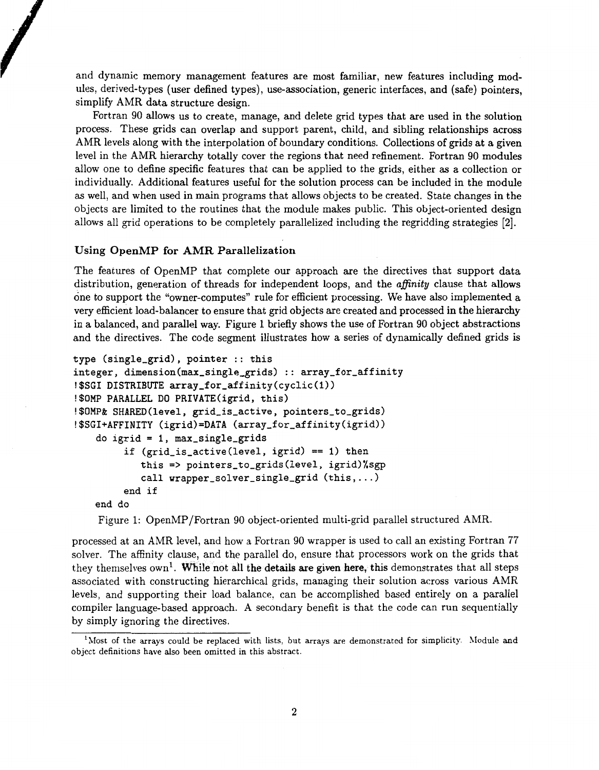and dynamic memory management features are most familiar, new features including modules, derived-types (user defined types), use-association, generic interfaces, and (safe) pointers, simplify AMR data structure design.

Fortran 90 allows us to create, manage, and delete grid types that are used in the solution process. These grids can overlap and support parent, child, and sibling relationships across AMR levels along with the interpolation of boundary conditions. Collections of grids at a given level in the AMR hierarchy totally cover the regions that need refinement. Fortran 90 modules allow one to define specific features that can be applied to the grids, either as a collection or individually. Additional features useful for the solution process can be included in the module as well, and when used in main programs that allows objects to be created. State changes in the objects are limited to the routines that the module makes public. This object-oriented design allows all grid operations to be completely parallelized including the regridding strategies **[2].** 

#### Using OpenMP **for** AMR Parallelization

The features of OpenMP that complete our approach are the directives that support data distribution, generation of threads for independent loops, and the *afinity* clause that allows one to support the "owner-computes" rule for efficient processing. We have also implemented a very efficient load-balancer to ensure that grid objects are created and processed in the hierarchy in a balanced, and parallel way. Figure 1 briefly shows the use of Fortran 90 object abstractions and the directives. The code segment illustrates how a series of dynamically defined grids is

```
type (single-grid), pointer :: this 
integer, dimension(max_single_grids) :: array_for_affinity!$SGI DISTRIBUTE array_for_affinity(cyclic(1))
!$OMP PARALLEL DO PRIVATE(igrid, this)
!$OMP& SHARED(level, grid_is_active, pointers_to_grids)
!$SGI+AFFINITY (igrid)=DATA (array_for_affinity(igrid))
    do igrid = 1, max_single_grids
         if (grid-is-active(leve1, igrid) == 1) then 
            this => pointers-to-grids(leve1, igrid)%sgp 
            call wrapper_solver_single_grid (this, ...)end if 
   end do
```
Figure 1: OpenMP/Fortran 90 object-oriented multi-grid parallel structured AMR.

processed at an AMR level, and how a Fortran 90 wrapper is used to call an existing Fortran 77 solver. The affinity clause, and the parallel do, ensure that processors work on the grids that they themselves  $own<sup>1</sup>$ . While not all the details are given here, this demonstrates that all steps associated with constructing hierarchical grids, managing their solution across various AMR levels, and supporting their load balance, can be accomplished based entirely on a parallel compiler language-based approach. A secondary benefit is that the code can run sequentially by simply ignoring the directives.

 $<sup>1</sup>$ Most of the arrays could be replaced with lists, but arrays are demonstrated for simplicity. Module and</sup> object definitions have also been omitted in this abstract.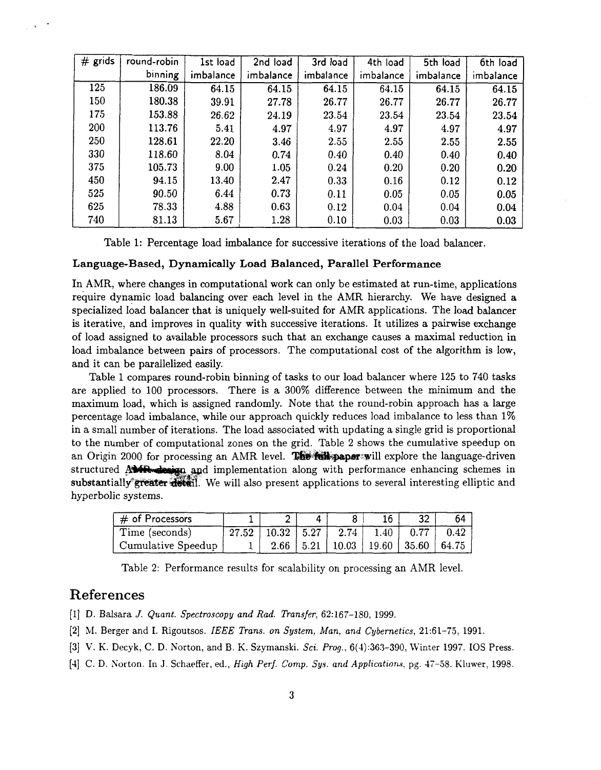| $#$ grids | round-robin | 1st load  | 2nd load  | 3rd load  | 4th load  | 5th load  | 6th load  |
|-----------|-------------|-----------|-----------|-----------|-----------|-----------|-----------|
|           | binning     | imbalance | imbalance | imbalance | imbalance | imbalance | imbalance |
| 125       | 186.09      | 64.15     | 64.15     | 64.15     | 64.15     | 64.15     | 64.15     |
| 150       | 180.38      | 39.91     | 27.78     | 26.77     | 26.77     | 26.77     | 26.77     |
| 175       | 153.88      | 26.62     | 24.19     | 23.54     | 23.54     | 23.54     | 23.54     |
| 200       | 113.76      | 5.41      | 4.97      | 4.97      | 4.97      | 4.97      | 4.97      |
| 250       | 128.61      | 22.20     | 3.46      | 2.55      | 2.55      | 2.55      | 2.55      |
| 330       | 118.60      | 8.04      | 0.74      | 0.40      | 0.40      | 0.40      | 0.40      |
| 375       | 105.73      | 9.00      | 1.05      | 0.24      | 0.20      | 0.20      | 0.20      |
| 450       | 94.15       | 13.40     | 2.47      | 0.33      | 0.16      | 0.12      | 0.12      |
| 525       | 90.50       | 6.44      | 0.73      | 0.11      | 0.05      | 0.05      | 0.05      |
| 625       | 78.33       | 4.88      | 0.63      | 0.12      | 0.04      | 0.04      | 0.04      |
| 740       | 81.13       | 5.67      | 1.28      | 0.10      | 0.03      | 0.03      | 0.03      |

Table 1: Percentage load imbalance for successive iterations of the load balancer.

#### **Language-Based, Dynamically Load Balanced, Parallel Performance**

In AMR, where changes in computational work can only be estimated at run-time, applications require dynamic load balancing over each level in the AMR hierarchy. We have designed a specialized Ioad balancer that is uniquely well-suited for AMR applications. The load balancer is iterative, and improves in quality with successive iterations. It utilizes a pairwise exchange of load assigned to available processors such that an exchange causes a maximal reduction in load imbalance between pairs of processors. The computational cost of the algorithm is low, and it can be parallelized easily.

Table 1 compares round-robin binning of tasks to our load balancer where 125 to 740 tasks are applied to 100 processors. There is a 300% difference between the minimum and the maximum load, which is assigned randomly. Note that the round-robin approach has a large percentage load imbalance, while our approach quickly reduces load imbalance to less than 1% in a small number of iterations. The load associated with updating a single grid is proportional to the number of computational zones on the grid. Table 2 shows the cumulative speedup on an Origin 2000 for processing an AMR level. **The religions** will explore the language-driven structured  $\mathbf{AM}$   $\mathbf{R}$  implementation along with performance enhancing schemes in substantially greater detail. We will also present applications to several interesting elliptic and hyperbolic systems.

| $\vert \#$ of Processors |                                                  |  | 32                                            | 64   |
|--------------------------|--------------------------------------------------|--|-----------------------------------------------|------|
| Time (seconds)           | $\mid$ 27.52   10.32   5.27   2.74   1.40   0.77 |  |                                               | 0.42 |
| Cumulative Speedup       |                                                  |  | $2.66$   5.21   10.03   19.60   35.60   64.75 |      |

Table 2: Performance results for scalability on processing an AMR level.

# References

[l] D. Balsara *J. Quant. Spectroscopy and Rad. Transfer,* 62:167-180, 1999.

- **[2]** ?VI. Berger and I. Rigoutsos. *IEEE Trans. on System, Man, and Cybernetics,* 21:61-75, 1991.
- [3] V. K. Decyk, C. D. Norton, and B. K. Szymanski. *Sci. Prog.*, 6(4):363-390, Winter 1997. IOS Press.
- [1] C. D. Norton. In J. Schaeffer, ed., *High Perf. Comp.* Sys. *and Applications.* pg. 17-58. Klnwer, 1998.